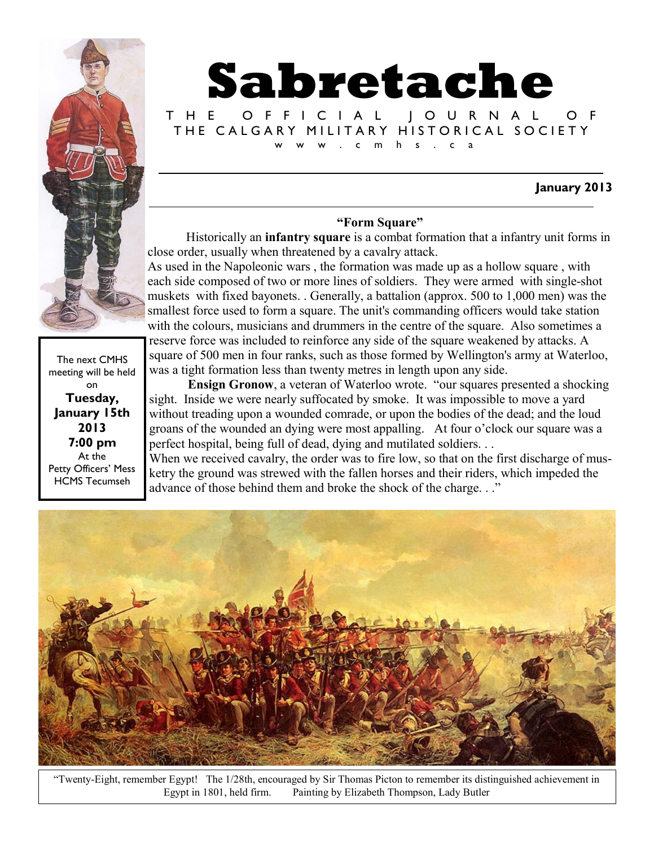

# **Sabretache**

T H E O F F I C I A L J O U R N A L O F THE CALGARY MILITARY HISTORICAL SOCIETY w . c m h s . c a

#### **January 2013**

#### **"Form Square"**

Historically an **infantry square** is a combat [formation that a infantry unit f](http://en.wikipedia.org/wiki/Military_tactic)orms in close order, usually when threatened by a cavalry attack.

As used in the Napoleonic wars , the formation was made up as a hollow square , with each side composed of two or more [lines](http://en.wikipedia.org/wiki/Rank_%28formation%29) of soldiers. They were armed with single-shot muskets with fixed bayonets. . Generally, a battalion (approx. 500 to 1,000 men) was the smallest force used to form a square. The unit's commanding officers would take station with the colours, musicians and drummers in the centre of the square. Also sometimes a reserve force was included to reinforce any side of the square weakened by attacks. A square of 500 men in four ranks, such as those formed by Wellington's army at Waterloo, was a tight formation less than twenty metres in length upon any side.

**Ensign Gronow**, a veteran of Waterloo wrote. "our squares presented a shocking sight. Inside we were nearly suffocated by smoke. It was impossible to move a yard without treading upon a wounded comrade, or upon the bodies of the dead; and the loud groans of the wounded an dying were most appalling. At four o'clock our square was a perfect hospital, being full of dead, dying and mutilated soldiers. . .

When we received cavalry, the order was to fire low, so that on the first discharge of musketry the ground was strewed with the fallen horses and their riders, which impeded the advance of those behind them and broke the shock of the charge. . ."



"Twenty-Eight, remember Egypt! The 1/28th, encouraged by Sir Thomas Picton to remember its distinguished achievement in Egypt in 1801, held firm. Painting by Elizabeth Thompson, Lady Butler

meeting will be held on **Tuesday, January 15th 2013 7:00 pm** At the Petty Officers' Mess HCMS Tecumseh

The next CMHS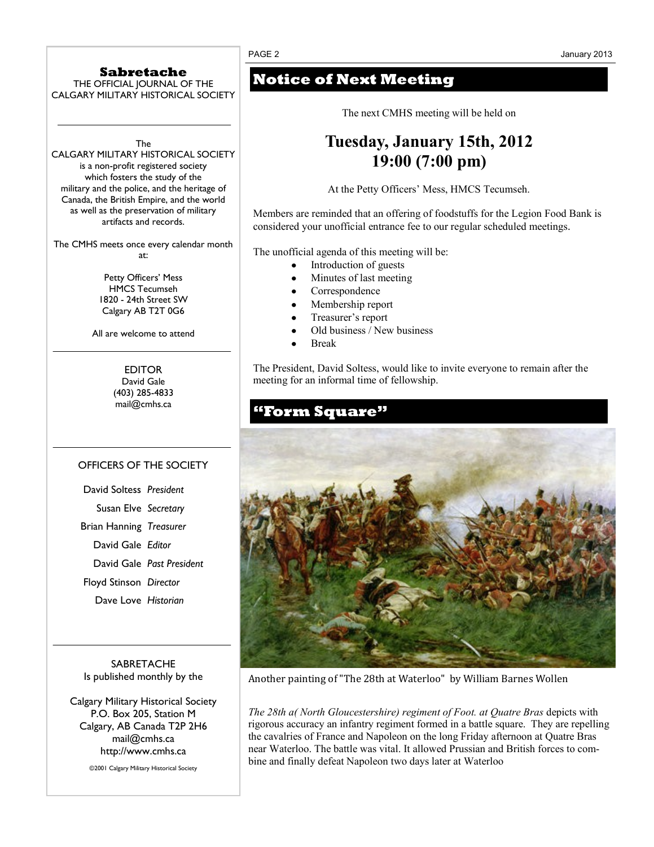#### **Sabretache**

THE OFFICIAL JOURNAL OF THE CALGARY MILITARY HISTORICAL SOCIETY

The

CALGARY MILITARY HISTORICAL SOCIETY is a non-profit registered society which fosters the study of the military and the police, and the heritage of Canada, the British Empire, and the world as well as the preservation of military artifacts and records.

The CMHS meets once every calendar month at:

> Petty Officers' Mess HMCS Tecumseh 1820 - 24th Street SW Calgary AB T2T 0G6

All are welcome to attend

**EDITOR** David Gale (403) 285-4833 mail@cmhs.ca

#### OFFICERS OF THE SOCIETY

| David Soltess President       |                           |
|-------------------------------|---------------------------|
| Susan Elve Secretary          |                           |
| Brian Hanning Treasurer       |                           |
| David Gale Editor             |                           |
|                               | David Gale Past President |
| <b>Floyd Stinson Director</b> |                           |
| Dave Love Historian           |                           |

**SABRETACHE** Is published monthly by the

Calgary Military Historical Society P.O. Box 205, Station M Calgary, AB Canada T2P 2H6 mail@cmhs.ca http://www.cmhs.ca

©2001 Calgary Military Historical Society

## **Notice of Next Meeting**

The next CMHS meeting will be held on

## **Tuesday, January 15th, 2012 19:00 (7:00 pm)**

At the Petty Officers' Mess, HMCS Tecumseh.

Members are reminded that an offering of foodstuffs for the Legion Food Bank is considered your unofficial entrance fee to our regular scheduled meetings*.*

The unofficial agenda of this meeting will be:

- Introduction of guests
- Minutes of last meeting
- Correspondence
- Membership report
- Treasurer's report
- Old business / New business
- Break

The President, David Soltess, would like to invite everyone to remain after the meeting for an informal time of fellowship.



Another painting of "The 28th at Waterloo" by William Barnes Wollen

*The 28th a( North Gloucestershire) regiment of Foot. at Quatre Bras* depicts with rigorous accuracy an infantry regiment formed in a battle square. They are repelling the cavalries of France and Napoleon on the long Friday afternoon at Quatre Bras near Waterloo. The battle was vital. It allowed Prussian and British forces to combine and finally defeat Napoleon two days later at Waterloo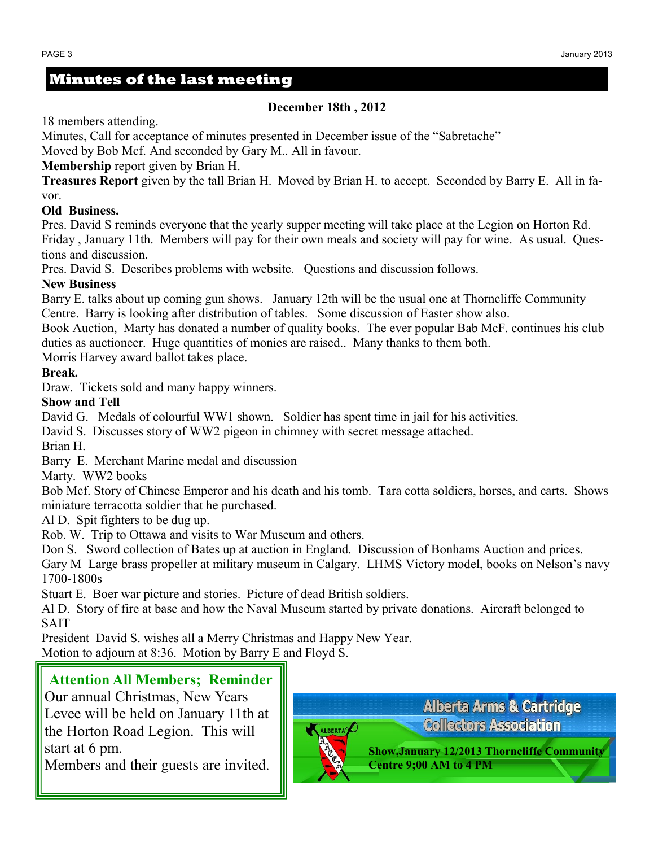### **Minutes of the last meeting**

#### **December 18th , 2012**

18 members attending.

Minutes, Call for acceptance of minutes presented in December issue of the "Sabretache"

Moved by Bob Mcf. And seconded by Gary M.. All in favour.

**Membership** report given by Brian H.

**Treasures Report** given by the tall Brian H. Moved by Brian H. to accept. Seconded by Barry E. All in favor.

#### **Old Business.**

Pres. David S reminds everyone that the yearly supper meeting will take place at the Legion on Horton Rd. Friday , January 11th. Members will pay for their own meals and society will pay for wine. As usual. Questions and discussion.

Pres. David S. Describes problems with website. Questions and discussion follows.

#### **New Business**

Barry E. talks about up coming gun shows. January 12th will be the usual one at Thorncliffe Community Centre. Barry is looking after distribution of tables. Some discussion of Easter show also.

Book Auction, Marty has donated a number of quality books. The ever popular Bab McF. continues his club duties as auctioneer. Huge quantities of monies are raised.. Many thanks to them both.

Morris Harvey award ballot takes place.

#### **Break.**

Draw. Tickets sold and many happy winners.

#### **Show and Tell**

David G. Medals of colourful WW1 shown. Soldier has spent time in jail for his activities.

David S. Discusses story of WW2 pigeon in chimney with secret message attached.

Brian H.

Barry E. Merchant Marine medal and discussion

Marty. WW2 books

Bob Mcf. Story of Chinese Emperor and his death and his tomb. Tara cotta soldiers, horses, and carts. Shows miniature terracotta soldier that he purchased.

Al D. Spit fighters to be dug up.

Rob. W. Trip to Ottawa and visits to War Museum and others.

Don S. Sword collection of Bates up at auction in England. Discussion of Bonhams Auction and prices.

Gary M Large brass propeller at military museum in Calgary. LHMS Victory model, books on Nelson's navy 1700-1800s

Stuart E. Boer war picture and stories. Picture of dead British soldiers.

Al D. Story of fire at base and how the Naval Museum started by private donations. Aircraft belonged to SAIT

President David S. wishes all a Merry Christmas and Happy New Year. Motion to adjourn at 8:36. Motion by Barry E and Floyd S.

## **Attention All Members; Reminder**

Our annual Christmas, New Years Levee will be held on January 11th at the Horton Road Legion. This will start at 6 pm.

Members and their guests are invited.